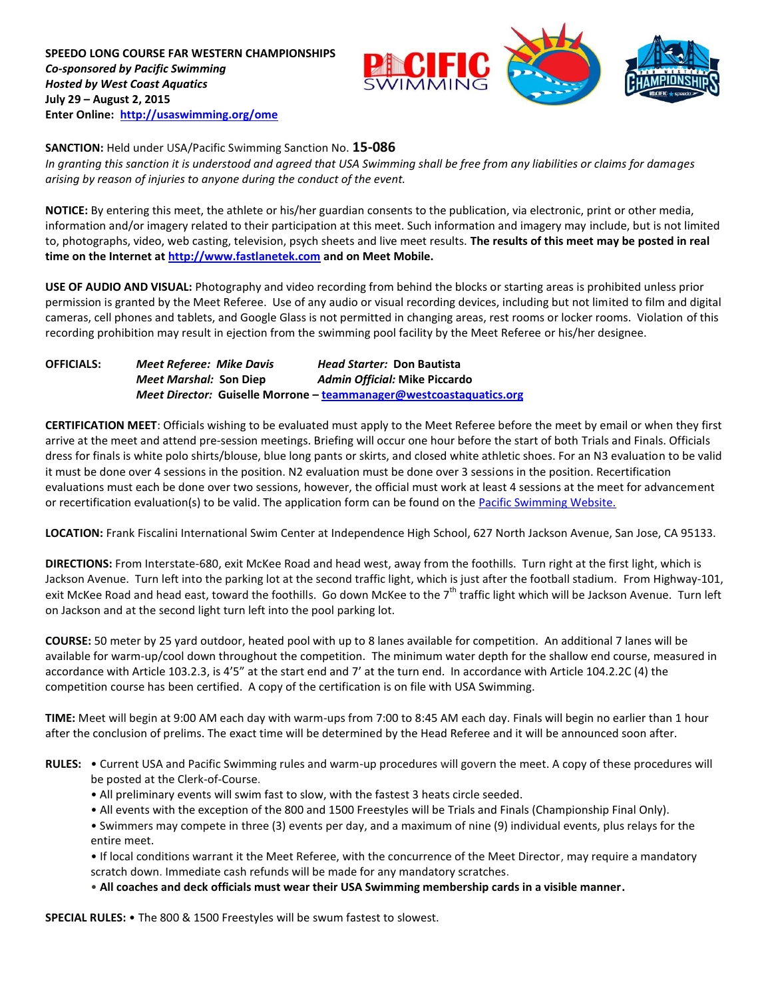**SPEEDO LONG COURSE FAR WESTERN CHAMPIONSHIPS** *Co-sponsored by Pacific Swimming Hosted by West Coast Aquatics* **July 29 – August 2, 2015 Enter Online: <http://usaswimming.org/ome>**



**SANCTION:** Held under USA/Pacific Swimming Sanction No. **15-086**

*In granting this sanction it is understood and agreed that USA Swimming shall be free from any liabilities or claims for damages arising by reason of injuries to anyone during the conduct of the event.*

**NOTICE:** By entering this meet, the athlete or his/her guardian consents to the publication, via electronic, print or other media, information and/or imagery related to their participation at this meet. Such information and imagery may include, but is not limited to, photographs, video, web casting, television, psych sheets and live meet results. **The results of this meet may be posted in real time on the Internet at [http://www.fastlanetek.com](http://www.fastlanetek.com/) and on Meet Mobile.**

**USE OF AUDIO AND VISUAL:** Photography and video recording from behind the blocks or starting areas is prohibited unless prior permission is granted by the Meet Referee. Use of any audio or visual recording devices, including but not limited to film and digital cameras, cell phones and tablets, and Google Glass is not permitted in changing areas, rest rooms or locker rooms. Violation of this recording prohibition may result in ejection from the swimming pool facility by the Meet Referee or his/her designee.

**OFFICIALS:** *Meet Referee: Mike Davis Head Starter:* **Don Bautista** *Meet Marshal:* **Son Diep** *Admin Official:* **Mike Piccardo** *Meet Director:* **Guiselle Morrone – [teammanager@westcoastaquatics.org](mailto:teammanager@westcoastaquatics.org)**

**CERTIFICATION MEET**: Officials wishing to be evaluated must apply to the Meet Referee before the meet by email or when they first arrive at the meet and attend pre-session meetings. Briefing will occur one hour before the start of both Trials and Finals. Officials dress for finals is white polo shirts/blouse, blue long pants or skirts, and closed white athletic shoes. For an N3 evaluation to be valid it must be done over 4 sessions in the position. N2 evaluation must be done over 3 sessions in the position. Recertification evaluations must each be done over two sessions, however, the official must work at least 4 sessions at the meet for advancement or recertification evaluation(s) to be valid. The application form can be found on th[e Pacific Swimming Website.](http://www.pacswim.org/)

**LOCATION:** Frank Fiscalini International Swim Center at Independence High School, 627 North Jackson Avenue, San Jose, CA 95133.

**DIRECTIONS:** From Interstate-680, exit McKee Road and head west, away from the foothills. Turn right at the first light, which is Jackson Avenue. Turn left into the parking lot at the second traffic light, which is just after the football stadium. From Highway-101, exit McKee Road and head east, toward the foothills. Go down McKee to the 7<sup>th</sup> traffic light which will be Jackson Avenue. Turn left on Jackson and at the second light turn left into the pool parking lot.

**COURSE:** 50 meter by 25 yard outdoor, heated pool with up to 8 lanes available for competition. An additional 7 lanes will be available for warm-up/cool down throughout the competition. The minimum water depth for the shallow end course, measured in accordance with Article 103.2.3, is 4'5" at the start end and 7' at the turn end. In accordance with Article 104.2.2C (4) the competition course has been certified. A copy of the certification is on file with USA Swimming.

**TIME:** Meet will begin at 9:00 AM each day with warm-ups from 7:00 to 8:45 AM each day. Finals will begin no earlier than 1 hour after the conclusion of prelims. The exact time will be determined by the Head Referee and it will be announced soon after.

- **RULES:** Current USA and Pacific Swimming rules and warm-up procedures will govern the meet. A copy of these procedures will be posted at the Clerk-of-Course.
	- All preliminary events will swim fast to slow, with the fastest 3 heats circle seeded.
	- All events with the exception of the 800 and 1500 Freestyles will be Trials and Finals (Championship Final Only).
	- Swimmers may compete in three (3) events per day, and a maximum of nine (9) individual events, plus relays for the entire meet.

• If local conditions warrant it the Meet Referee, with the concurrence of the Meet Director, may require a mandatory scratch down. Immediate cash refunds will be made for any mandatory scratches.

• **All coaches and deck officials must wear their USA Swimming membership cards in a visible manner.** 

**SPECIAL RULES:** • The 800 & 1500 Freestyles will be swum fastest to slowest.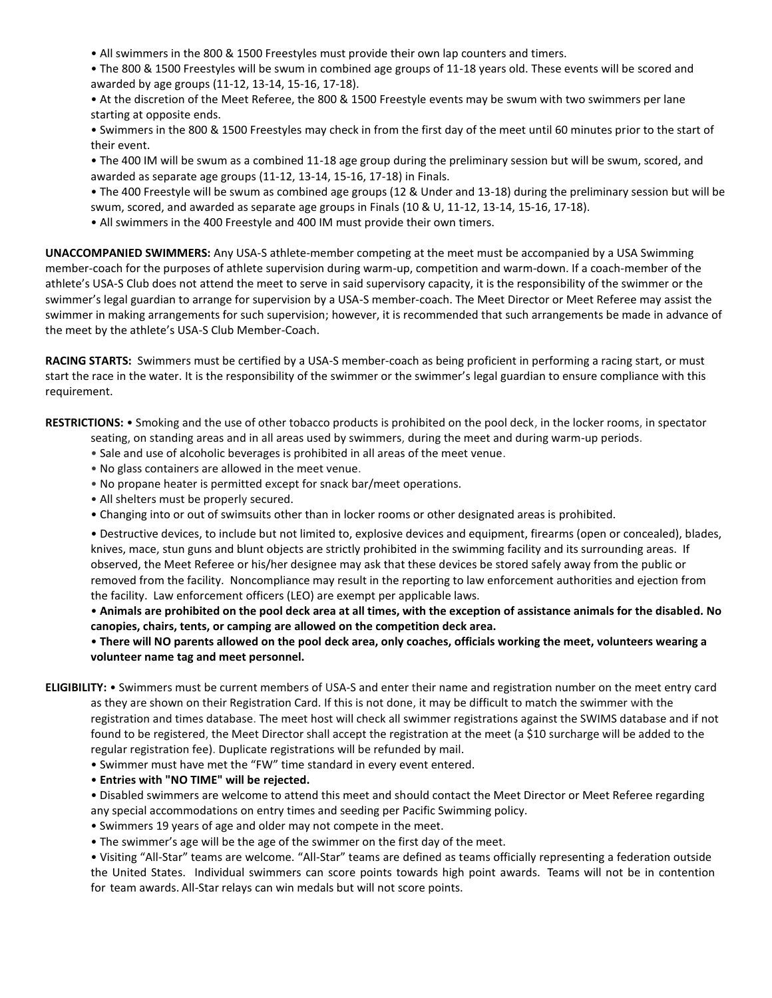- All swimmers in the 800 & 1500 Freestyles must provide their own lap counters and timers.
- The 800 & 1500 Freestyles will be swum in combined age groups of 11-18 years old. These events will be scored and awarded by age groups (11-12, 13-14, 15-16, 17-18).
- At the discretion of the Meet Referee, the 800 & 1500 Freestyle events may be swum with two swimmers per lane starting at opposite ends.
- Swimmers in the 800 & 1500 Freestyles may check in from the first day of the meet until 60 minutes prior to the start of their event.
- The 400 IM will be swum as a combined 11-18 age group during the preliminary session but will be swum, scored, and awarded as separate age groups (11-12, 13-14, 15-16, 17-18) in Finals.
- The 400 Freestyle will be swum as combined age groups (12 & Under and 13-18) during the preliminary session but will be swum, scored, and awarded as separate age groups in Finals (10 & U, 11-12, 13-14, 15-16, 17-18).
- All swimmers in the 400 Freestyle and 400 IM must provide their own timers.

**UNACCOMPANIED SWIMMERS:** Any USA-S athlete-member competing at the meet must be accompanied by a USA Swimming member-coach for the purposes of athlete supervision during warm-up, competition and warm-down. If a coach-member of the athlete's USA-S Club does not attend the meet to serve in said supervisory capacity, it is the responsibility of the swimmer or the swimmer's legal guardian to arrange for supervision by a USA-S member-coach. The Meet Director or Meet Referee may assist the swimmer in making arrangements for such supervision; however, it is recommended that such arrangements be made in advance of the meet by the athlete's USA-S Club Member-Coach.

**RACING STARTS:** Swimmers must be certified by a USA-S member-coach as being proficient in performing a racing start, or must start the race in the water. It is the responsibility of the swimmer or the swimmer's legal guardian to ensure compliance with this requirement.

**RESTRICTIONS:** • Smoking and the use of other tobacco products is prohibited on the pool deck, in the locker rooms, in spectator

- seating, on standing areas and in all areas used by swimmers, during the meet and during warm-up periods.
- Sale and use of alcoholic beverages is prohibited in all areas of the meet venue.
- No glass containers are allowed in the meet venue.
- No propane heater is permitted except for snack bar/meet operations.
- All shelters must be properly secured.
- Changing into or out of swimsuits other than in locker rooms or other designated areas is prohibited.

• Destructive devices, to include but not limited to, explosive devices and equipment, firearms (open or concealed), blades, knives, mace, stun guns and blunt objects are strictly prohibited in the swimming facility and its surrounding areas. If observed, the Meet Referee or his/her designee may ask that these devices be stored safely away from the public or removed from the facility. Noncompliance may result in the reporting to law enforcement authorities and ejection from the facility. Law enforcement officers (LEO) are exempt per applicable laws.

• **Animals are prohibited on the pool deck area at all times, with the exception of assistance animals for the disabled. No canopies, chairs, tents, or camping are allowed on the competition deck area.**

## • **There will NO parents allowed on the pool deck area, only coaches, officials working the meet, volunteers wearing a volunteer name tag and meet personnel.**

**ELIGIBILITY:** • Swimmers must be current members of USA-S and enter their name and registration number on the meet entry card as they are shown on their Registration Card. If this is not done, it may be difficult to match the swimmer with the registration and times database. The meet host will check all swimmer registrations against the SWIMS database and if not found to be registered, the Meet Director shall accept the registration at the meet (a \$10 surcharge will be added to the regular registration fee). Duplicate registrations will be refunded by mail.

• Swimmer must have met the "FW" time standard in every event entered.

• **Entries with "NO TIME" will be rejected.**

• Disabled swimmers are welcome to attend this meet and should contact the Meet Director or Meet Referee regarding any special accommodations on entry times and seeding per Pacific Swimming policy.

- Swimmers 19 years of age and older may not compete in the meet.
- The swimmer's age will be the age of the swimmer on the first day of the meet.

• Visiting "All-Star" teams are welcome. "All-Star" teams are defined as teams officially representing a federation outside the United States. Individual swimmers can score points towards high point awards. Teams will not be in contention for team awards. All-Star relays can win medals but will not score points.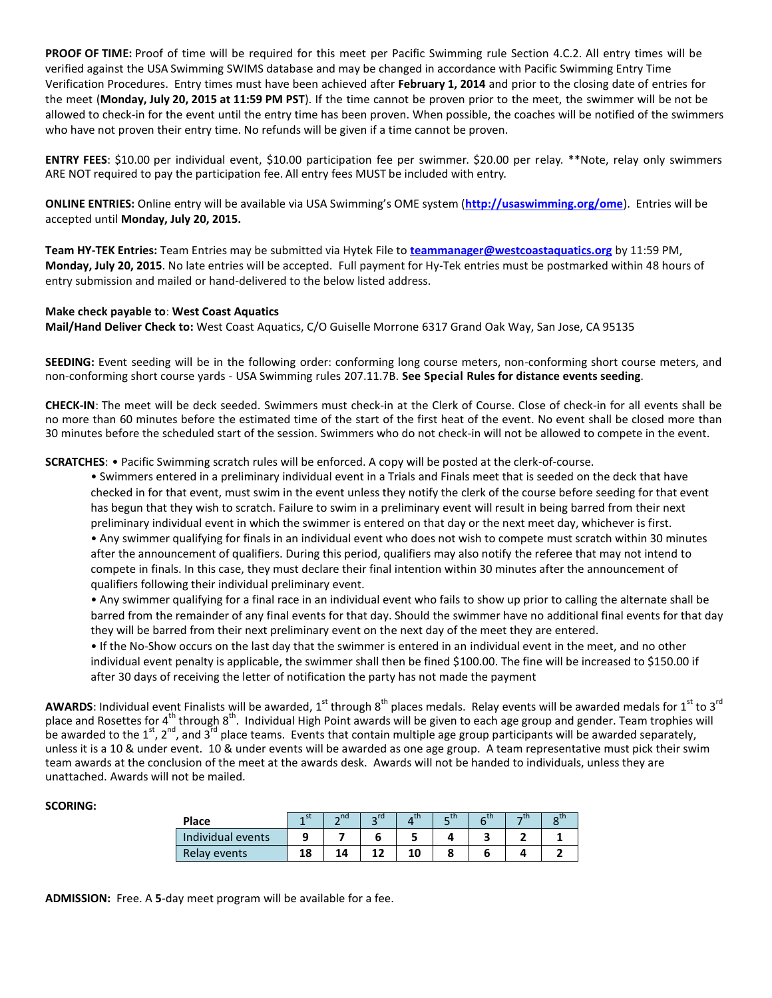**PROOF OF TIME:** Proof of time will be required for this meet per Pacific Swimming rule Section 4.C.2. All entry times will be verified against the USA Swimming SWIMS database and may be changed in accordance with Pacific Swimming Entry Time Verification Procedures. Entry times must have been achieved after **February 1, 2014** and prior to the closing date of entries for the meet (**Monday, July 20, 2015 at 11:59 PM PST**). If the time cannot be proven prior to the meet, the swimmer will be not be allowed to check-in for the event until the entry time has been proven. When possible, the coaches will be notified of the swimmers who have not proven their entry time. No refunds will be given if a time cannot be proven.

**ENTRY FEES**: \$10.00 per individual event, \$10.00 participation fee per swimmer. \$20.00 per relay. \*\*Note, relay only swimmers ARE NOT required to pay the participation fee. All entry fees MUST be included with entry.

**ONLINE ENTRIES:** Online entry will be available via USA Swimming's OME system (**<http://usaswimming.org/ome>**). Entries will be accepted until **Monday, July 20, 2015.**

**Team HY-TEK Entries:** Team Entries may be submitted via Hytek File to **[teammanager@westcoastaquatics.org](mailto:teammanager@westcoastaquatics.org)** by 11:59 PM, **Monday, July 20, 2015**. No late entries will be accepted. Full payment for Hy-Tek entries must be postmarked within 48 hours of entry submission and mailed or hand-delivered to the below listed address.

## **Make check payable to**: **West Coast Aquatics**

**Mail/Hand Deliver Check to:** West Coast Aquatics, C/O Guiselle Morrone 6317 Grand Oak Way, San Jose, CA 95135

**SEEDING:** Event seeding will be in the following order: conforming long course meters, non-conforming short course meters, and non-conforming short course yards - USA Swimming rules 207.11.7B. **See Special Rules for distance events seeding**.

**CHECK-IN**: The meet will be deck seeded. Swimmers must check-in at the Clerk of Course. Close of check-in for all events shall be no more than 60 minutes before the estimated time of the start of the first heat of the event. No event shall be closed more than 30 minutes before the scheduled start of the session. Swimmers who do not check-in will not be allowed to compete in the event.

**SCRATCHES**: • Pacific Swimming scratch rules will be enforced. A copy will be posted at the clerk-of-course.

• Swimmers entered in a preliminary individual event in a Trials and Finals meet that is seeded on the deck that have checked in for that event, must swim in the event unless they notify the clerk of the course before seeding for that event has begun that they wish to scratch. Failure to swim in a preliminary event will result in being barred from their next preliminary individual event in which the swimmer is entered on that day or the next meet day, whichever is first. • Any swimmer qualifying for finals in an individual event who does not wish to compete must scratch within 30 minutes after the announcement of qualifiers. During this period, qualifiers may also notify the referee that may not intend to compete in finals. In this case, they must declare their final intention within 30 minutes after the announcement of qualifiers following their individual preliminary event.

• Any swimmer qualifying for a final race in an individual event who fails to show up prior to calling the alternate shall be barred from the remainder of any final events for that day. Should the swimmer have no additional final events for that day they will be barred from their next preliminary event on the next day of the meet they are entered.

• If the No-Show occurs on the last day that the swimmer is entered in an individual event in the meet, and no other individual event penalty is applicable, the swimmer shall then be fined \$100.00. The fine will be increased to \$150.00 if after 30 days of receiving the letter of notification the party has not made the payment

**AWARDS**: Individual event Finalists will be awarded, 1<sup>st</sup> through 8<sup>th</sup> places medals. Relay events will be awarded medals for 1<sup>st</sup> to 3<sup>rd</sup> place and Rosettes for 4<sup>th</sup> through 8<sup>th</sup>. Individual High Point awards will be given to each age group and gender. Team trophies will be awarded to the  $1^{st}$ ,  $2^{nd}$ , and  $3^{rd}$  place teams. Events that contain multiple age group participants will be awarded separately, unless it is a 10 & under event. 10 & under events will be awarded as one age group. A team representative must pick their swim team awards at the conclusion of the meet at the awards desk. Awards will not be handed to individuals, unless they are unattached. Awards will not be mailed.

## **SCORING:**

| <b>Place</b>      | $\sim$ nd | $\mathsf{h}$ rd | – tn | — U I |  |
|-------------------|-----------|-----------------|------|-------|--|
| Individual events |           |                 |      |       |  |
| Relay events      | 14        |                 |      |       |  |

**ADMISSION:** Free. A **5**-day meet program will be available for a fee.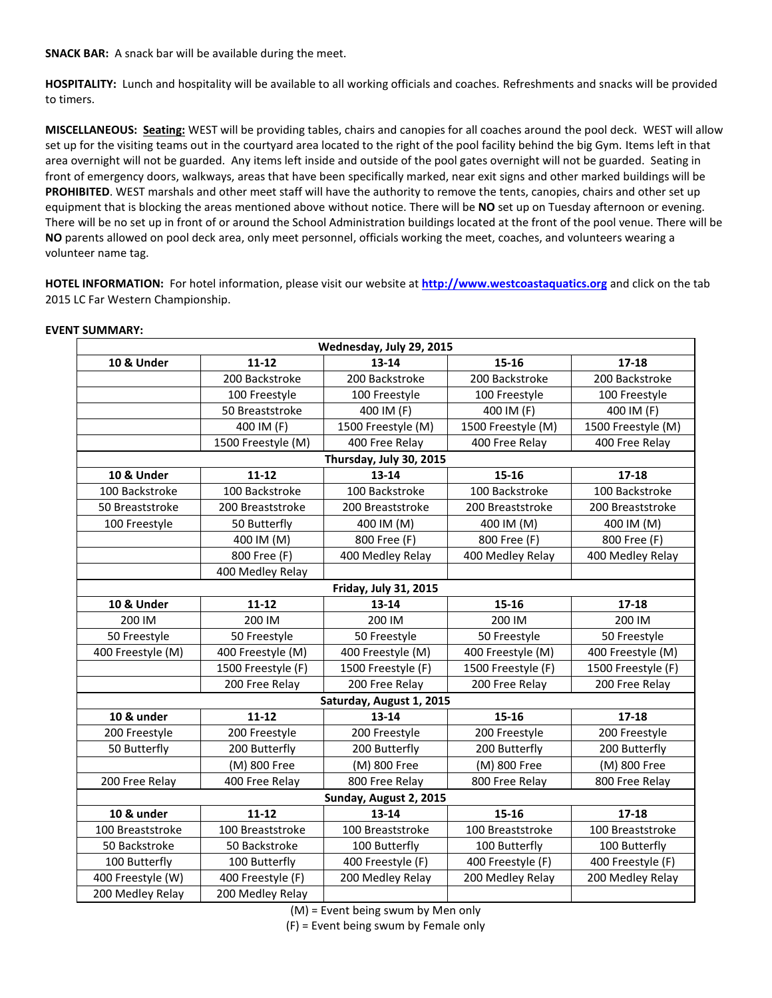**SNACK BAR:** A snack bar will be available during the meet.

**HOSPITALITY:** Lunch and hospitality will be available to all working officials and coaches. Refreshments and snacks will be provided to timers.

**MISCELLANEOUS: Seating:** WEST will be providing tables, chairs and canopies for all coaches around the pool deck. WEST will allow set up for the visiting teams out in the courtyard area located to the right of the pool facility behind the big Gym. Items left in that area overnight will not be guarded. Any items left inside and outside of the pool gates overnight will not be guarded. Seating in front of emergency doors, walkways, areas that have been specifically marked, near exit signs and other marked buildings will be **PROHIBITED**. WEST marshals and other meet staff will have the authority to remove the tents, canopies, chairs and other set up equipment that is blocking the areas mentioned above without notice. There will be **NO** set up on Tuesday afternoon or evening. There will be no set up in front of or around the School Administration buildings located at the front of the pool venue. There will be **NO** parents allowed on pool deck area, only meet personnel, officials working the meet, coaches, and volunteers wearing a volunteer name tag.

**HOTEL INFORMATION:** For hotel information, please visit our website at **[http://www.westcoastaquatics.org](http://www.westcoastaquatics.org/)** and click on the tab 2015 LC Far Western Championship.

| Wednesday, July 29, 2015 |                    |                              |                    |                    |  |  |
|--------------------------|--------------------|------------------------------|--------------------|--------------------|--|--|
| <b>10 &amp; Under</b>    | $11 - 12$          | $13 - 14$                    | 15-16              | $17 - 18$          |  |  |
|                          | 200 Backstroke     | 200 Backstroke               | 200 Backstroke     | 200 Backstroke     |  |  |
|                          | 100 Freestyle      | 100 Freestyle                | 100 Freestyle      | 100 Freestyle      |  |  |
|                          | 50 Breaststroke    | 400 IM (F)                   | 400 IM (F)         | 400 IM (F)         |  |  |
|                          | 400 IM (F)         | 1500 Freestyle (M)           | 1500 Freestyle (M) | 1500 Freestyle (M) |  |  |
|                          | 1500 Freestyle (M) | 400 Free Relay               | 400 Free Relay     | 400 Free Relay     |  |  |
|                          |                    | Thursday, July 30, 2015      |                    |                    |  |  |
| <b>10 &amp; Under</b>    | $11 - 12$          | $13 - 14$                    | $15 - 16$          | $17 - 18$          |  |  |
| 100 Backstroke           | 100 Backstroke     | 100 Backstroke               | 100 Backstroke     | 100 Backstroke     |  |  |
| 50 Breaststroke          | 200 Breaststroke   | 200 Breaststroke             | 200 Breaststroke   | 200 Breaststroke   |  |  |
| 100 Freestyle            | 50 Butterfly       | 400 IM (M)                   | 400 IM (M)         | 400 IM (M)         |  |  |
|                          | 400 IM (M)         | 800 Free (F)                 | 800 Free (F)       | 800 Free (F)       |  |  |
|                          | 800 Free (F)       | 400 Medley Relay             | 400 Medley Relay   | 400 Medley Relay   |  |  |
|                          | 400 Medley Relay   |                              |                    |                    |  |  |
|                          |                    | <b>Friday, July 31, 2015</b> |                    |                    |  |  |
| <b>10 &amp; Under</b>    | $11 - 12$          | 13-14                        | 15-16              | $17 - 18$          |  |  |
| 200 IM                   | 200 IM             | 200 IM                       | 200 IM             | 200 IM             |  |  |
| 50 Freestyle             | 50 Freestyle       | 50 Freestyle                 | 50 Freestyle       | 50 Freestyle       |  |  |
| 400 Freestyle (M)        | 400 Freestyle (M)  | 400 Freestyle (M)            | 400 Freestyle (M)  | 400 Freestyle (M)  |  |  |
|                          | 1500 Freestyle (F) | 1500 Freestyle (F)           | 1500 Freestyle (F) | 1500 Freestyle (F) |  |  |
|                          | 200 Free Relay     | 200 Free Relay               | 200 Free Relay     | 200 Free Relay     |  |  |
|                          |                    | Saturday, August 1, 2015     |                    |                    |  |  |
| 10 & under               | $11 - 12$          | 13-14                        | $15 - 16$          | $17 - 18$          |  |  |
| 200 Freestyle            | 200 Freestyle      | 200 Freestyle                | 200 Freestyle      | 200 Freestyle      |  |  |
| 50 Butterfly             | 200 Butterfly      | 200 Butterfly                | 200 Butterfly      | 200 Butterfly      |  |  |
|                          | (M) 800 Free       | (M) 800 Free                 | (M) 800 Free       | (M) 800 Free       |  |  |
| 200 Free Relay           | 400 Free Relay     | 800 Free Relay               | 800 Free Relay     | 800 Free Relay     |  |  |
| Sunday, August 2, 2015   |                    |                              |                    |                    |  |  |
| 10 & under               | $11 - 12$          | $13 - 14$                    | $15 - 16$          | $17 - 18$          |  |  |
| 100 Breaststroke         | 100 Breaststroke   | 100 Breaststroke             | 100 Breaststroke   | 100 Breaststroke   |  |  |
| 50 Backstroke            | 50 Backstroke      | 100 Butterfly                | 100 Butterfly      | 100 Butterfly      |  |  |
| 100 Butterfly            | 100 Butterfly      | 400 Freestyle (F)            | 400 Freestyle (F)  | 400 Freestyle (F)  |  |  |
| 400 Freestyle (W)        | 400 Freestyle (F)  | 200 Medley Relay             | 200 Medley Relay   | 200 Medley Relay   |  |  |
| 200 Medley Relay         | 200 Medley Relay   |                              |                    |                    |  |  |

## **EVENT SUMMARY:**

(M) = Event being swum by Men only

(F) = Event being swum by Female only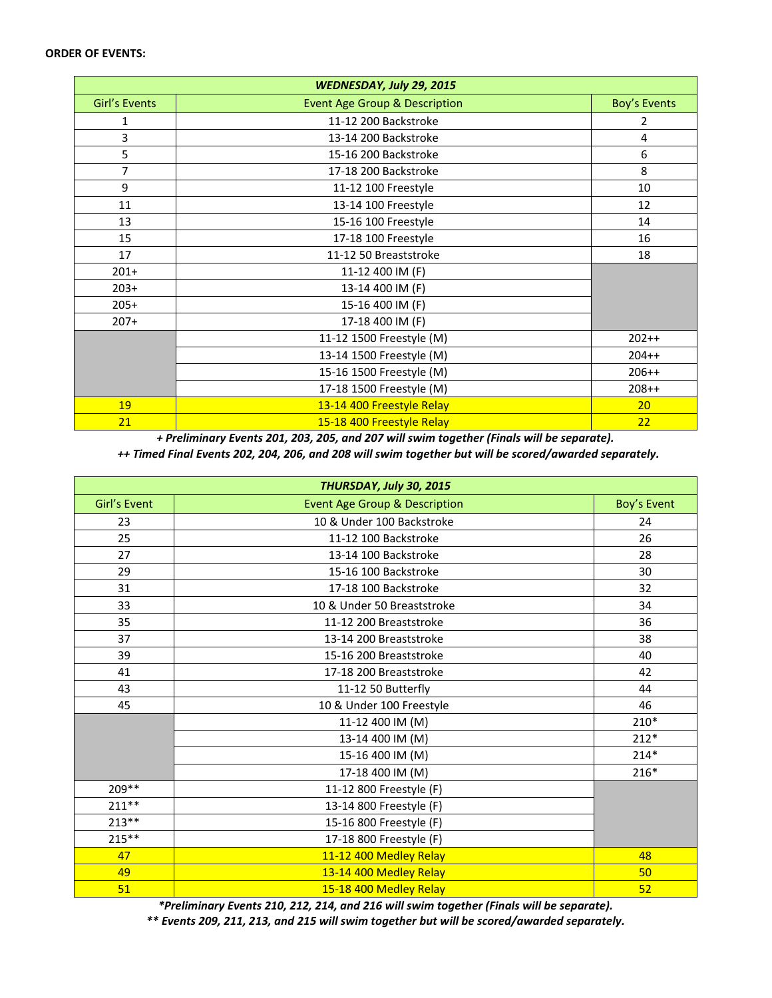| WEDNESDAY, July 29, 2015 |                                          |                     |  |  |
|--------------------------|------------------------------------------|---------------------|--|--|
| Girl's Events            | <b>Event Age Group &amp; Description</b> | <b>Boy's Events</b> |  |  |
| 1                        | 11-12 200 Backstroke                     | 2                   |  |  |
| 3                        | 13-14 200 Backstroke                     | 4                   |  |  |
| 5                        | 15-16 200 Backstroke                     | 6                   |  |  |
| $\overline{7}$           | 17-18 200 Backstroke                     | 8                   |  |  |
| 9                        | 11-12 100 Freestyle                      | 10                  |  |  |
| 11                       | 13-14 100 Freestyle                      | 12                  |  |  |
| 13                       | 15-16 100 Freestyle                      | 14                  |  |  |
| 15                       | 17-18 100 Freestyle                      | 16                  |  |  |
| 17                       | 11-12 50 Breaststroke                    | 18                  |  |  |
| $201+$                   | 11-12 400 IM (F)                         |                     |  |  |
| $203+$                   | 13-14 400 IM (F)                         |                     |  |  |
| $205+$                   | 15-16 400 IM (F)                         |                     |  |  |
| $207+$                   | 17-18 400 IM (F)                         |                     |  |  |
|                          | 11-12 1500 Freestyle (M)                 | $202++$             |  |  |
|                          | 13-14 1500 Freestyle (M)                 | $204++$             |  |  |
|                          | 15-16 1500 Freestyle (M)                 | $206++$             |  |  |
|                          | 17-18 1500 Freestyle (M)                 | $208++$             |  |  |
| 19                       | 13-14 400 Freestyle Relay                | 20                  |  |  |
| 21                       | 15-18 400 Freestyle Relay                | 22                  |  |  |

*+ Preliminary Events 201, 203, 205, and 207 will swim together (Finals will be separate). ++ Timed Final Events 202, 204, 206, and 208 will swim together but will be scored/awarded separately.*

| THURSDAY, July 30, 2015 |                                          |             |  |  |
|-------------------------|------------------------------------------|-------------|--|--|
| Girl's Event            | <b>Event Age Group &amp; Description</b> | Boy's Event |  |  |
| 23                      | 10 & Under 100 Backstroke                | 24          |  |  |
| 25                      | 11-12 100 Backstroke                     | 26          |  |  |
| 27                      | 13-14 100 Backstroke                     | 28          |  |  |
| 29                      | 15-16 100 Backstroke                     | 30          |  |  |
| 31                      | 17-18 100 Backstroke                     | 32          |  |  |
| 33                      | 10 & Under 50 Breaststroke               | 34          |  |  |
| 35                      | 11-12 200 Breaststroke                   | 36          |  |  |
| 37                      | 13-14 200 Breaststroke                   | 38          |  |  |
| 39                      | 15-16 200 Breaststroke                   | 40          |  |  |
| 41                      | 17-18 200 Breaststroke                   | 42          |  |  |
| 43                      | 11-12 50 Butterfly                       | 44          |  |  |
| 45                      | 10 & Under 100 Freestyle                 | 46          |  |  |
|                         | 11-12 400 IM (M)                         | $210*$      |  |  |
|                         | 13-14 400 IM (M)                         | $212*$      |  |  |
|                         | 15-16 400 IM (M)                         | $214*$      |  |  |
|                         | 17-18 400 IM (M)                         | $216*$      |  |  |
| $209**$                 | 11-12 800 Freestyle (F)                  |             |  |  |
| $211**$                 | 13-14 800 Freestyle (F)                  |             |  |  |
| $213**$                 | 15-16 800 Freestyle (F)                  |             |  |  |
| $215***$                | 17-18 800 Freestyle (F)                  |             |  |  |
| 47                      | 11-12 400 Medley Relay                   | 48          |  |  |
| 49                      | 13-14 400 Medley Relay                   | 50          |  |  |
| 51                      | 15-18 400 Medley Relay                   | 52          |  |  |

*\*Preliminary Events 210, 212, 214, and 216 will swim together (Finals will be separate).* 

*\*\* Events 209, 211, 213, and 215 will swim together but will be scored/awarded separately.*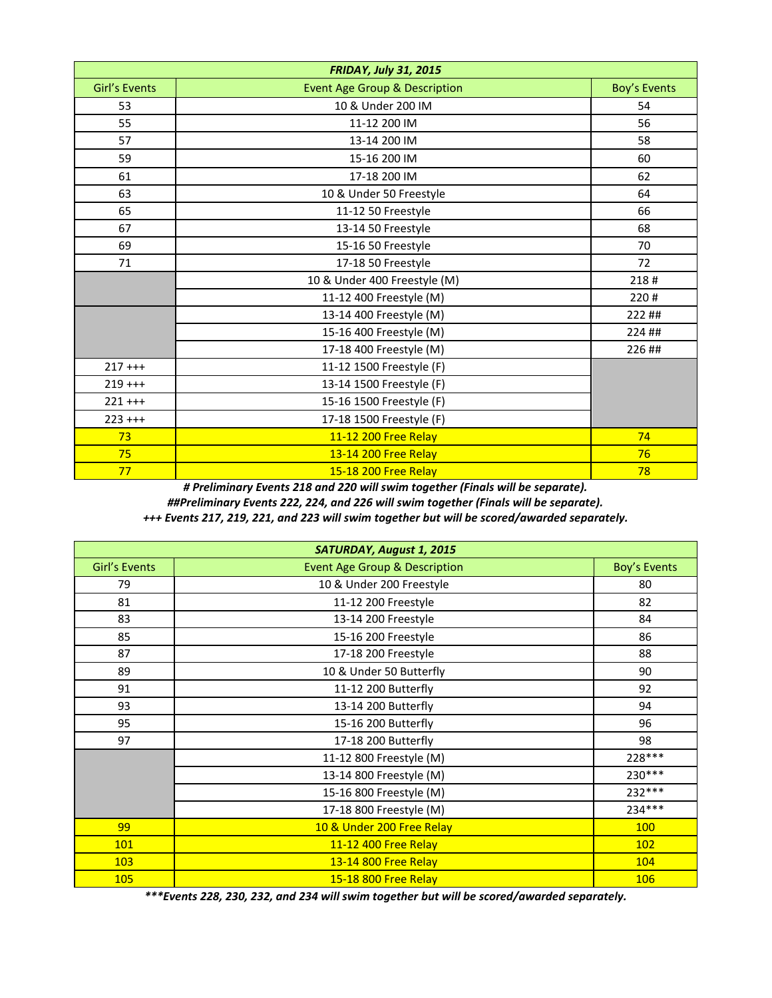|               | <b>FRIDAY, July 31, 2015</b>             |                     |
|---------------|------------------------------------------|---------------------|
| Girl's Events | <b>Event Age Group &amp; Description</b> | <b>Boy's Events</b> |
| 53            | 10 & Under 200 IM                        | 54                  |
| 55            | 11-12 200 IM                             | 56                  |
| 57            | 13-14 200 IM                             | 58                  |
| 59            | 15-16 200 IM                             | 60                  |
| 61            | 17-18 200 IM                             | 62                  |
| 63            | 10 & Under 50 Freestyle                  | 64                  |
| 65            | 11-12 50 Freestyle                       | 66                  |
| 67            | 13-14 50 Freestyle                       | 68                  |
| 69            | 15-16 50 Freestyle                       | 70                  |
| 71            | 17-18 50 Freestyle                       | 72                  |
|               | 10 & Under 400 Freestyle (M)             | 218#                |
|               | 11-12 400 Freestyle (M)                  | 220#                |
|               | 13-14 400 Freestyle (M)                  | 222 ##              |
|               | 15-16 400 Freestyle (M)                  | 224 ##              |
|               | 17-18 400 Freestyle (M)                  | 226 ##              |
| $217$ +++     | 11-12 1500 Freestyle (F)                 |                     |
| $219$ +++     | 13-14 1500 Freestyle (F)                 |                     |
| $221 + + +$   | 15-16 1500 Freestyle (F)                 |                     |
| $223$ +++     | 17-18 1500 Freestyle (F)                 |                     |
| 73            | 11-12 200 Free Relay                     | 74                  |
| 75            | 13-14 200 Free Relay                     | 76                  |
| 77            | 15-18 200 Free Relay                     | 78                  |

*# Preliminary Events 218 and 220 will swim together (Finals will be separate).*

*##Preliminary Events 222, 224, and 226 will swim together (Finals will be separate).*

*+++ Events 217, 219, 221, and 223 will swim together but will be scored/awarded separately.*

| SATURDAY, August 1, 2015 |                                          |                     |  |  |
|--------------------------|------------------------------------------|---------------------|--|--|
| Girl's Events            | <b>Event Age Group &amp; Description</b> | <b>Boy's Events</b> |  |  |
| 79                       | 10 & Under 200 Freestyle                 | 80                  |  |  |
| 81                       | 11-12 200 Freestyle                      | 82                  |  |  |
| 83                       | 13-14 200 Freestyle                      | 84                  |  |  |
| 85                       | 15-16 200 Freestyle                      | 86                  |  |  |
| 87                       | 17-18 200 Freestyle                      | 88                  |  |  |
| 89                       | 10 & Under 50 Butterfly                  | 90                  |  |  |
| 91                       | 11-12 200 Butterfly                      | 92                  |  |  |
| 93                       | 13-14 200 Butterfly                      | 94                  |  |  |
| 95                       | 15-16 200 Butterfly                      | 96                  |  |  |
| 97                       | 17-18 200 Butterfly                      | 98                  |  |  |
|                          | 11-12 800 Freestyle (M)                  | 228 ***             |  |  |
|                          | 13-14 800 Freestyle (M)                  | 230***              |  |  |
|                          | 15-16 800 Freestyle (M)                  | 232 ***             |  |  |
|                          | 17-18 800 Freestyle (M)                  | 234 ***             |  |  |
| 99                       | 10 & Under 200 Free Relay                | <b>100</b>          |  |  |
| <b>101</b>               | 11-12 400 Free Relay                     | <b>102</b>          |  |  |
| 103                      | 13-14 800 Free Relay                     | 104                 |  |  |
| 105                      | 15-18 800 Free Relay                     | <b>106</b>          |  |  |

*\*\*\*Events 228, 230, 232, and 234 will swim together but will be scored/awarded separately.*